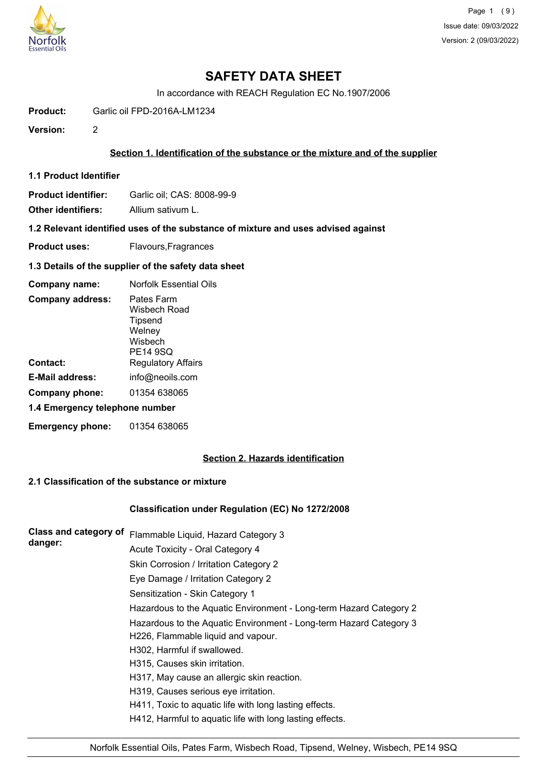

# **SAFETY DATA SHEET**

In accordance with REACH Regulation EC No.1907/2006

**Product:** Garlic oil FPD-2016A-LM1234

**Version:** 2

### **Section 1. Identification of the substance or the mixture and of the supplier**

- **1.1 Product Identifier**
- **Product identifier:** Garlic oil; CAS: 8008-99-9

**Other identifiers:** Allium sativum L.

**1.2 Relevant identified uses of the substance of mixture and uses advised against**

- **Product uses:** Flavours, Fragrances
- **1.3 Details of the supplier of the safety data sheet**

| Company name:                  | <b>Norfolk Essential Oils</b>                                          |  |
|--------------------------------|------------------------------------------------------------------------|--|
| <b>Company address:</b>        | Pates Farm<br>Wisbech Road<br>Tipsend<br>Welney<br>Wisbech<br>PE14 9SQ |  |
| Contact:                       | <b>Regulatory Affairs</b>                                              |  |
| E-Mail address:                | info@neoils.com                                                        |  |
| Company phone:                 | 01354 638065                                                           |  |
| 1.4 Emergency telephone number |                                                                        |  |
| <b>Emergency phone:</b>        | 01354 638065                                                           |  |

## **Section 2. Hazards identification**

## **2.1 Classification of the substance or mixture**

### **Classification under Regulation (EC) No 1272/2008**

| Flammable Liquid, Hazard Category 3                                |
|--------------------------------------------------------------------|
| Acute Toxicity - Oral Category 4                                   |
| Skin Corrosion / Irritation Category 2                             |
| Eye Damage / Irritation Category 2                                 |
| Sensitization - Skin Category 1                                    |
| Hazardous to the Aquatic Environment - Long-term Hazard Category 2 |
| Hazardous to the Aquatic Environment - Long-term Hazard Category 3 |
| H226, Flammable liquid and vapour.                                 |
| H302, Harmful if swallowed.                                        |
| H315, Causes skin irritation.                                      |
| H317, May cause an allergic skin reaction.                         |
| H319, Causes serious eye irritation.                               |
| H411, Toxic to aquatic life with long lasting effects.             |
| H412, Harmful to aquatic life with long lasting effects.           |
|                                                                    |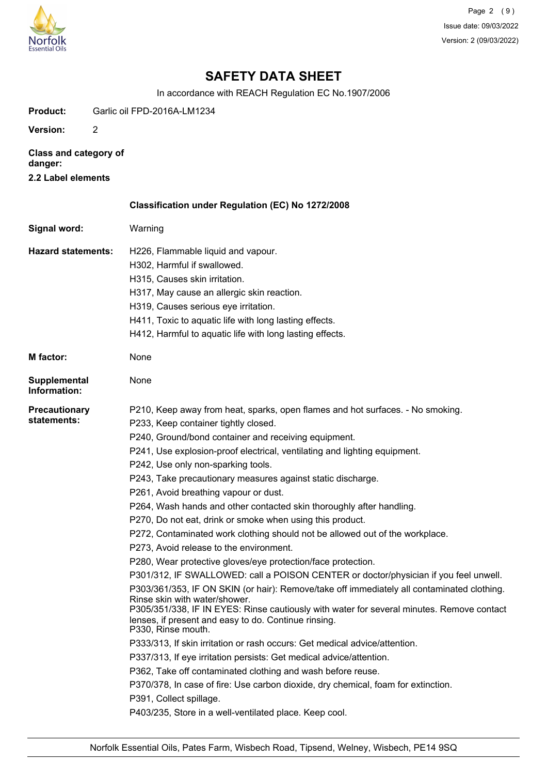

Page 2 (9) Issue date: 09/03/2022 Version: 2 (09/03/2022)

## **SAFETY DATA SHEET**

In accordance with REACH Regulation EC No.1907/2006

**Product:** Garlic oil FPD-2016A-LM1234 **Version:** 2 **Class and category of danger: 2.2 Label elements Classification under Regulation (EC) No 1272/2008 Signal word:** Warning H226, Flammable liquid and vapour. H302, Harmful if swallowed. H315, Causes skin irritation. H317, May cause an allergic skin reaction. H319, Causes serious eye irritation. H411, Toxic to aquatic life with long lasting effects. H412, Harmful to aquatic life with long lasting effects. **Hazard statements: M factor:** None **Supplemental** None **Information:** P210, Keep away from heat, sparks, open flames and hot surfaces. - No smoking. P233, Keep container tightly closed. P240, Ground/bond container and receiving equipment. P241, Use explosion-proof electrical, ventilating and lighting equipment. P242, Use only non-sparking tools. P243, Take precautionary measures against static discharge. P261, Avoid breathing vapour or dust. P264, Wash hands and other contacted skin thoroughly after handling. P270, Do not eat, drink or smoke when using this product. P272, Contaminated work clothing should not be allowed out of the workplace. P273, Avoid release to the environment. P280, Wear protective gloves/eye protection/face protection. P301/312, IF SWALLOWED: call a POISON CENTER or doctor/physician if you feel unwell. P303/361/353, IF ON SKIN (or hair): Remove/take off immediately all contaminated clothing. Rinse skin with water/shower. P305/351/338, IF IN EYES: Rinse cautiously with water for several minutes. Remove contact lenses, if present and easy to do. Continue rinsing. P330, Rinse mouth. P333/313, If skin irritation or rash occurs: Get medical advice/attention. P337/313, If eye irritation persists: Get medical advice/attention. P362, Take off contaminated clothing and wash before reuse. P370/378, In case of fire: Use carbon dioxide, dry chemical, foam for extinction. P391, Collect spillage. P403/235, Store in a well-ventilated place. Keep cool. **Precautionary statements:**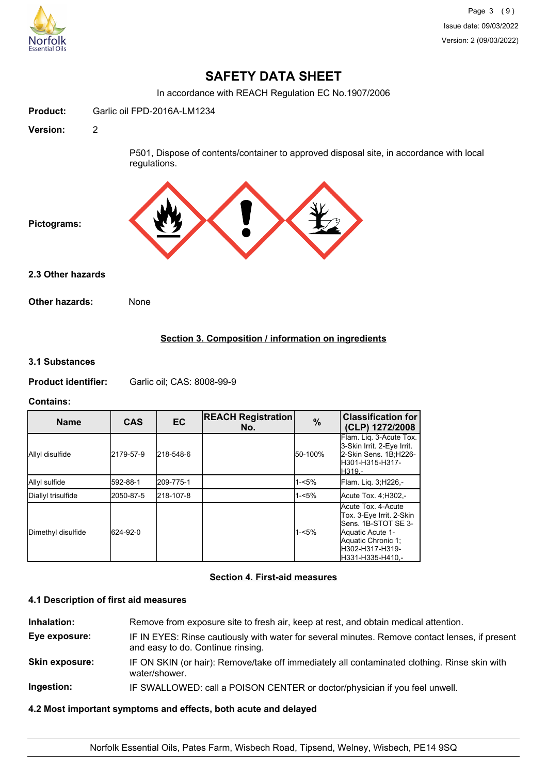

## **SAFETY DATA SHEET**

In accordance with REACH Regulation EC No.1907/2006

| Product:          | Garlic oil FPD-2016A-LM1234                                                                             |
|-------------------|---------------------------------------------------------------------------------------------------------|
| <b>Version:</b>   | $\overline{2}$                                                                                          |
|                   | P501, Dispose of contents/container to approved disposal site, in accordance with local<br>regulations. |
| Pictograms:       |                                                                                                         |
| 2.3 Other hazards |                                                                                                         |
| Other hazards:    | None                                                                                                    |
|                   |                                                                                                         |

### **Section 3. Composition / information on ingredients**

#### **3.1 Substances**

**Product identifier:** Garlic oil; CAS: 8008-99-9

### **Contains:**

| <b>Name</b>        | <b>CAS</b> | <b>EC</b> | <b>REACH Registration</b><br>No. | $\%$     | <b>Classification for</b><br>(CLP) 1272/2008                                                                                                           |
|--------------------|------------|-----------|----------------------------------|----------|--------------------------------------------------------------------------------------------------------------------------------------------------------|
| Allyl disulfide    | 2179-57-9  | 218-548-6 |                                  | 50-100%  | Flam. Lig. 3-Acute Tox.<br>3-Skin Irrit. 2-Eye Irrit.<br>2-Skin Sens. 1B;H226-<br>lH301-H315-H317-<br>IH319.-                                          |
| Allyl sulfide      | 592-88-1   | 209-775-1 |                                  | $1 - 5%$ | Flam. Lig. 3;H226,-                                                                                                                                    |
| Diallyl trisulfide | 2050-87-5  | 218-107-8 |                                  | $1 - 5%$ | Acute Tox. 4; H302,-                                                                                                                                   |
| Dimethyl disulfide | 624-92-0   |           |                                  | $1 - 5%$ | Acute Tox. 4-Acute<br>Tox. 3-Eye Irrit. 2-Skin<br>Sens. 1B-STOT SE 3-<br>Aquatic Acute 1-<br>Aquatic Chronic 1;<br>H302-H317-H319-<br>H331-H335-H410.- |

### **Section 4. First-aid measures**

### **4.1 Description of first aid measures**

**Inhalation:** Remove from exposure site to fresh air, keep at rest, and obtain medical attention. **Eye exposure:** IF IN EYES: Rinse cautiously with water for several minutes. Remove contact lenses, if present and easy to do. Continue rinsing. **Skin exposure:** IF ON SKIN (or hair): Remove/take off immediately all contaminated clothing. Rinse skin with water/shower. **Ingestion:** IF SWALLOWED: call a POISON CENTER or doctor/physician if you feel unwell.

## **4.2 Most important symptoms and effects, both acute and delayed**

Norfolk Essential Oils, Pates Farm, Wisbech Road, Tipsend, Welney, Wisbech, PE14 9SQ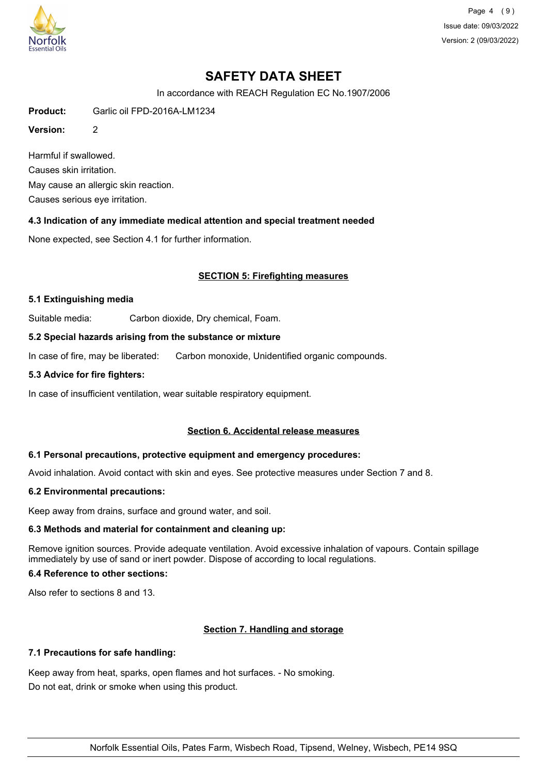

Page 4 (9) Issue date: 09/03/2022 Version: 2 (09/03/2022)

# **SAFETY DATA SHEET**

In accordance with REACH Regulation EC No.1907/2006

**Product:** Garlic oil FPD-2016A-LM1234

**Version:** 2

Harmful if swallowed. Causes skin irritation. May cause an allergic skin reaction. Causes serious eye irritation.

**4.3 Indication of any immediate medical attention and special treatment needed**

None expected, see Section 4.1 for further information.

### **SECTION 5: Firefighting measures**

#### **5.1 Extinguishing media**

Suitable media: Carbon dioxide, Dry chemical, Foam.

### **5.2 Special hazards arising from the substance or mixture**

In case of fire, may be liberated: Carbon monoxide, Unidentified organic compounds.

#### **5.3 Advice for fire fighters:**

In case of insufficient ventilation, wear suitable respiratory equipment.

### **Section 6. Accidental release measures**

### **6.1 Personal precautions, protective equipment and emergency procedures:**

Avoid inhalation. Avoid contact with skin and eyes. See protective measures under Section 7 and 8.

### **6.2 Environmental precautions:**

Keep away from drains, surface and ground water, and soil.

### **6.3 Methods and material for containment and cleaning up:**

Remove ignition sources. Provide adequate ventilation. Avoid excessive inhalation of vapours. Contain spillage immediately by use of sand or inert powder. Dispose of according to local regulations.

### **6.4 Reference to other sections:**

Also refer to sections 8 and 13.

### **Section 7. Handling and storage**

### **7.1 Precautions for safe handling:**

Keep away from heat, sparks, open flames and hot surfaces. - No smoking. Do not eat, drink or smoke when using this product.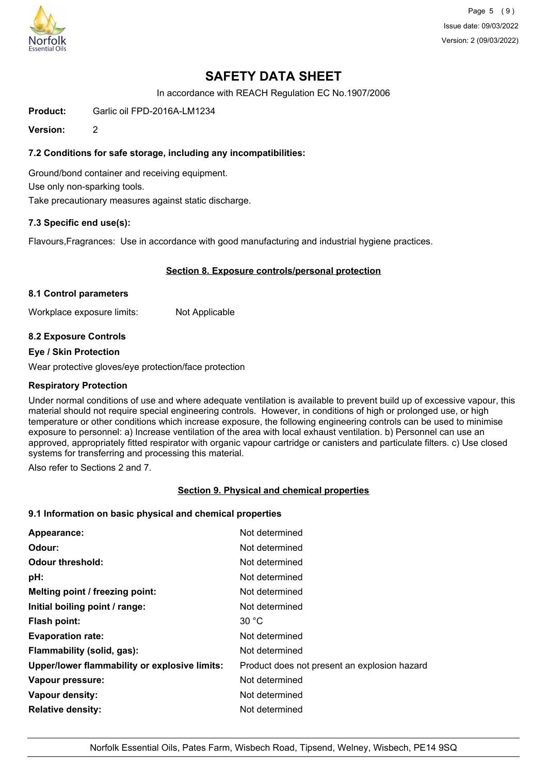

Page 5 (9) Issue date: 09/03/2022 Version: 2 (09/03/2022)

## **SAFETY DATA SHEET**

In accordance with REACH Regulation EC No.1907/2006

**Product:** Garlic oil FPD-2016A-LM1234

**Version:** 2

### **7.2 Conditions for safe storage, including any incompatibilities:**

Ground/bond container and receiving equipment. Use only non-sparking tools. Take precautionary measures against static discharge.

### **7.3 Specific end use(s):**

Flavours,Fragrances: Use in accordance with good manufacturing and industrial hygiene practices.

### **Section 8. Exposure controls/personal protection**

#### **8.1 Control parameters**

Workplace exposure limits: Not Applicable

### **8.2 Exposure Controls**

#### **Eye / Skin Protection**

Wear protective gloves/eye protection/face protection

#### **Respiratory Protection**

Under normal conditions of use and where adequate ventilation is available to prevent build up of excessive vapour, this material should not require special engineering controls. However, in conditions of high or prolonged use, or high temperature or other conditions which increase exposure, the following engineering controls can be used to minimise exposure to personnel: a) Increase ventilation of the area with local exhaust ventilation. b) Personnel can use an approved, appropriately fitted respirator with organic vapour cartridge or canisters and particulate filters. c) Use closed systems for transferring and processing this material.

Also refer to Sections 2 and 7.

### **Section 9. Physical and chemical properties**

#### **9.1 Information on basic physical and chemical properties**

| Appearance:                                   | Not determined                               |
|-----------------------------------------------|----------------------------------------------|
| Odour:                                        | Not determined                               |
| <b>Odour threshold:</b>                       | Not determined                               |
| pH:                                           | Not determined                               |
| Melting point / freezing point:               | Not determined                               |
| Initial boiling point / range:                | Not determined                               |
| <b>Flash point:</b>                           | 30 °C                                        |
| <b>Evaporation rate:</b>                      | Not determined                               |
| Flammability (solid, gas):                    | Not determined                               |
| Upper/lower flammability or explosive limits: | Product does not present an explosion hazard |
| Vapour pressure:                              | Not determined                               |
| Vapour density:                               | Not determined                               |
| <b>Relative density:</b>                      | Not determined                               |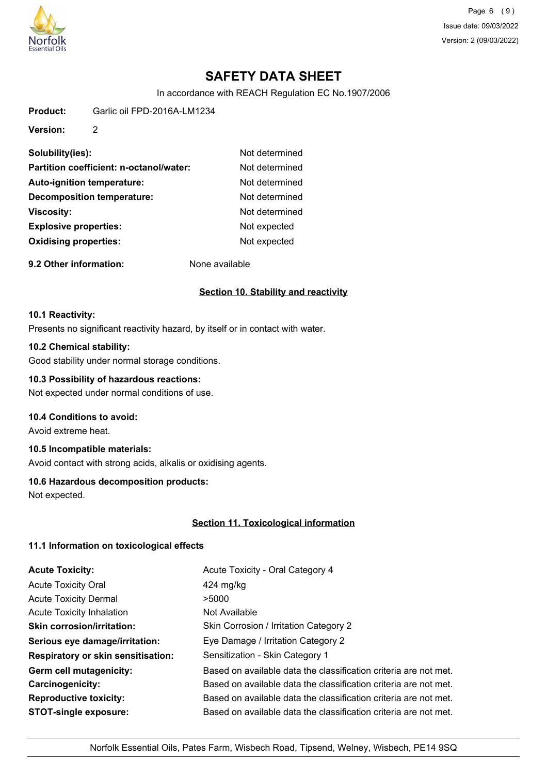

Page 6 (9) Issue date: 09/03/2022 Version: 2 (09/03/2022)

# **SAFETY DATA SHEET**

In accordance with REACH Regulation EC No.1907/2006

**Product:** Garlic oil FPD-2016A-LM1234

**Version:** 2

| Solubility(ies):                        | Not determined |
|-----------------------------------------|----------------|
| Partition coefficient: n-octanol/water: | Not determined |
| <b>Auto-ignition temperature:</b>       | Not determined |
| <b>Decomposition temperature:</b>       | Not determined |
| Viscosity:                              | Not determined |
| <b>Explosive properties:</b>            | Not expected   |
| <b>Oxidising properties:</b>            | Not expected   |
|                                         |                |

**9.2 Other information:** None available

### **Section 10. Stability and reactivity**

#### **10.1 Reactivity:**

Presents no significant reactivity hazard, by itself or in contact with water.

## **10.2 Chemical stability:**

Good stability under normal storage conditions.

## **10.3 Possibility of hazardous reactions:**

Not expected under normal conditions of use.

### **10.4 Conditions to avoid:**

Avoid extreme heat.

## **10.5 Incompatible materials:**

Avoid contact with strong acids, alkalis or oxidising agents.

### **10.6 Hazardous decomposition products:**

Not expected.

### **Section 11. Toxicological information**

### **11.1 Information on toxicological effects**

| <b>Acute Toxicity:</b>                    | Acute Toxicity - Oral Category 4                                 |
|-------------------------------------------|------------------------------------------------------------------|
| <b>Acute Toxicity Oral</b>                | $424 \text{ mg/kg}$                                              |
| <b>Acute Toxicity Dermal</b>              | >5000                                                            |
| <b>Acute Toxicity Inhalation</b>          | Not Available                                                    |
| <b>Skin corrosion/irritation:</b>         | Skin Corrosion / Irritation Category 2                           |
| Serious eye damage/irritation:            | Eye Damage / Irritation Category 2                               |
| <b>Respiratory or skin sensitisation:</b> | Sensitization - Skin Category 1                                  |
| Germ cell mutagenicity:                   | Based on available data the classification criteria are not met. |
| <b>Carcinogenicity:</b>                   | Based on available data the classification criteria are not met. |
| <b>Reproductive toxicity:</b>             | Based on available data the classification criteria are not met. |
| <b>STOT-single exposure:</b>              | Based on available data the classification criteria are not met. |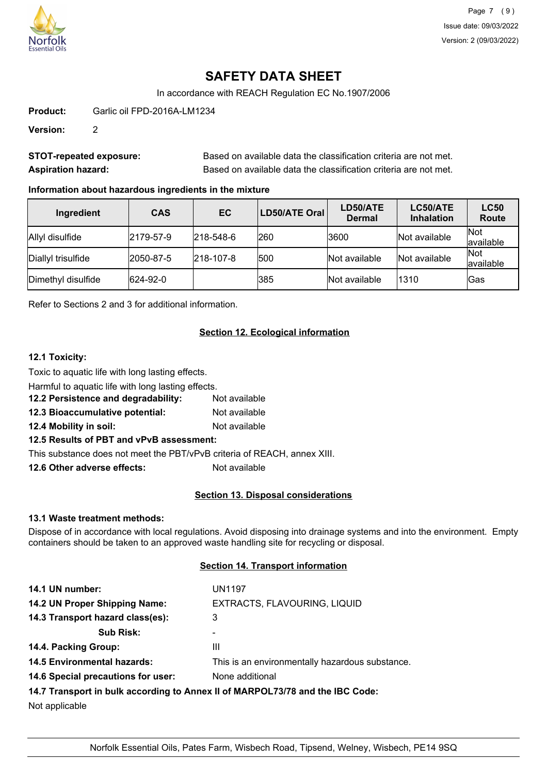

# **SAFETY DATA SHEET**

In accordance with REACH Regulation EC No.1907/2006

**Product:** Garlic oil FPD-2016A-LM1234

**Version:** 2

| <b>STOT-repeated exposure:</b> | Based on available data the classification criteria are not met. |
|--------------------------------|------------------------------------------------------------------|
| <b>Aspiration hazard:</b>      | Based on available data the classification criteria are not met. |

### **Information about hazardous ingredients in the mixture**

| Ingredient         | <b>CAS</b> | <b>EC</b>         | LD50/ATE Oral | LD50/ATE<br><b>Dermal</b> | LC50/ATE<br><b>Inhalation</b> | <b>LC50</b><br><b>Route</b> |
|--------------------|------------|-------------------|---------------|---------------------------|-------------------------------|-----------------------------|
| Allyl disulfide    | 2179-57-9  | $ 218 - 548 - 6 $ | 260           | 3600                      | Not available                 | <b>Not</b><br>available     |
| Diallyl trisulfide | 2050-87-5  | $ 218 - 107 - 8 $ | 500           | Not available             | Not available                 | <b>Not</b><br>available     |
| Dimethyl disulfide | 624-92-0   |                   | 385           | Not available             | 1310                          | Gas                         |

Refer to Sections 2 and 3 for additional information.

### **Section 12. Ecological information**

### **12.1 Toxicity:**

Toxic to aquatic life with long lasting effects.

Harmful to aquatic life with long lasting effects.

**12.2 Persistence and degradability:** Not available

**12.3 Bioaccumulative potential:** Not available

**12.4 Mobility in soil:** Not available

**12.5 Results of PBT and vPvB assessment:**

This substance does not meet the PBT/vPvB criteria of REACH, annex XIII.

**12.6 Other adverse effects:** Not available

### **Section 13. Disposal considerations**

### **13.1 Waste treatment methods:**

Dispose of in accordance with local regulations. Avoid disposing into drainage systems and into the environment. Empty containers should be taken to an approved waste handling site for recycling or disposal.

#### **Section 14. Transport information**

| 14.1 UN number:                    | <b>UN1197</b>                                                                 |
|------------------------------------|-------------------------------------------------------------------------------|
| 14.2 UN Proper Shipping Name:      | EXTRACTS, FLAVOURING, LIQUID                                                  |
| 14.3 Transport hazard class(es):   | 3                                                                             |
| <b>Sub Risk:</b>                   |                                                                               |
| 14.4. Packing Group:               | Ш                                                                             |
| <b>14.5 Environmental hazards:</b> | This is an environmentally hazardous substance.                               |
| 14.6 Special precautions for user: | None additional                                                               |
|                                    | 14.7 Transport in bulk according to Annex II of MARPOL73/78 and the IBC Code: |
| Not applicable                     |                                                                               |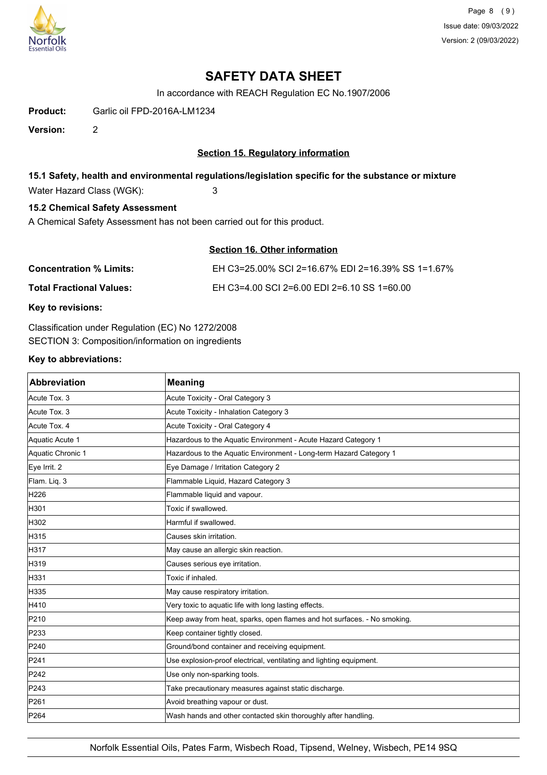

Page 8 (9) Issue date: 09/03/2022 Version: 2 (09/03/2022)

## **SAFETY DATA SHEET**

In accordance with REACH Regulation EC No.1907/2006

**Product:** Garlic oil FPD-2016A-LM1234

**Version:** 2

### **Section 15. Regulatory information**

#### **15.1 Safety, health and environmental regulations/legislation specific for the substance or mixture**

Water Hazard Class (WGK): 3

### **15.2 Chemical Safety Assessment**

A Chemical Safety Assessment has not been carried out for this product.

|--|

| <b>Concentration % Limits:</b>  | EH C3=25.00% SCI 2=16.67% EDI 2=16.39% SS 1=1.67% |
|---------------------------------|---------------------------------------------------|
| <b>Total Fractional Values:</b> | EH C3=4.00 SCI 2=6.00 EDI 2=6.10 SS 1=60.00       |

**Key to revisions:**

Classification under Regulation (EC) No 1272/2008 SECTION 3: Composition/information on ingredients

#### **Key to abbreviations:**

| <b>Abbreviation</b> | <b>Meaning</b>                                                           |
|---------------------|--------------------------------------------------------------------------|
| Acute Tox. 3        | Acute Toxicity - Oral Category 3                                         |
| Acute Tox. 3        | Acute Toxicity - Inhalation Category 3                                   |
| Acute Tox. 4        | Acute Toxicity - Oral Category 4                                         |
| Aquatic Acute 1     | Hazardous to the Aquatic Environment - Acute Hazard Category 1           |
| Aquatic Chronic 1   | Hazardous to the Aquatic Environment - Long-term Hazard Category 1       |
| Eye Irrit. 2        | Eye Damage / Irritation Category 2                                       |
| Flam. Liq. 3        | Flammable Liquid, Hazard Category 3                                      |
| H226                | Flammable liquid and vapour.                                             |
| H301                | Toxic if swallowed.                                                      |
| H302                | Harmful if swallowed.                                                    |
| H315                | Causes skin irritation.                                                  |
| H317                | May cause an allergic skin reaction.                                     |
| H319                | Causes serious eye irritation.                                           |
| H331                | Toxic if inhaled.                                                        |
| H335                | May cause respiratory irritation.                                        |
| H410                | Very toxic to aquatic life with long lasting effects.                    |
| P210                | Keep away from heat, sparks, open flames and hot surfaces. - No smoking. |
| P233                | Keep container tightly closed.                                           |
| P240                | Ground/bond container and receiving equipment.                           |
| P241                | Use explosion-proof electrical, ventilating and lighting equipment.      |
| P242                | Use only non-sparking tools.                                             |
| P243                | Take precautionary measures against static discharge.                    |
| P261                | Avoid breathing vapour or dust.                                          |
| P <sub>264</sub>    | Wash hands and other contacted skin thoroughly after handling.           |